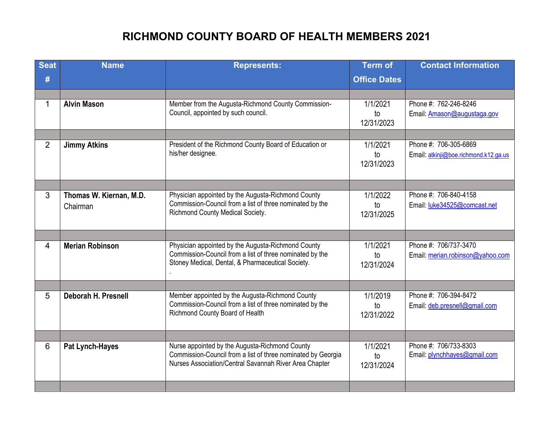## **RICHMOND COUNTY BOARD OF HEALTH MEMBERS 2021**

| <b>Seat</b>    | <b>Name</b>                         | <b>Represents:</b>                                                                                                                                                       | <b>Term of</b>                          | <b>Contact Information</b>                                     |
|----------------|-------------------------------------|--------------------------------------------------------------------------------------------------------------------------------------------------------------------------|-----------------------------------------|----------------------------------------------------------------|
| #              |                                     |                                                                                                                                                                          | <b>Office Dates</b>                     |                                                                |
|                |                                     |                                                                                                                                                                          |                                         |                                                                |
| 1              | <b>Alvin Mason</b>                  | Member from the Augusta-Richmond County Commission-<br>Council, appointed by such council.                                                                               | 1/1/2021<br>to<br>12/31/2023            | Phone #: 762-246-8246<br>Email: Amason@augustaga.gov           |
|                |                                     |                                                                                                                                                                          |                                         |                                                                |
| $\overline{2}$ | <b>Jimmy Atkins</b>                 | President of the Richmond County Board of Education or<br>his/her designee.                                                                                              | 1/1/2021<br>to<br>12/31/2023            | Phone #: 706-305-6869<br>Email: atkinji@boe.richmond.k12.ga.us |
|                |                                     |                                                                                                                                                                          |                                         |                                                                |
| 3              | Thomas W. Kiernan, M.D.<br>Chairman | Physician appointed by the Augusta-Richmond County<br>Commission-Council from a list of three nominated by the<br>Richmond County Medical Society.                       | 1/1/2022<br>$\mathsf{to}$<br>12/31/2025 | Phone #: 706-840-4158<br>Email: luke34525@comcast.net          |
|                |                                     |                                                                                                                                                                          |                                         |                                                                |
| 4              | <b>Merian Robinson</b>              | Physician appointed by the Augusta-Richmond County<br>Commission-Council from a list of three nominated by the<br>Stoney Medical, Dental, & Pharmaceutical Society.      | 1/1/2021<br>to<br>12/31/2024            | Phone #: 706/737-3470<br>Email: merian.robinson@yahoo.com      |
|                |                                     |                                                                                                                                                                          |                                         |                                                                |
| 5              | Deborah H. Presnell                 | Member appointed by the Augusta-Richmond County<br>Commission-Council from a list of three nominated by the<br>Richmond County Board of Health                           | 1/1/2019<br>to<br>12/31/2022            | Phone #: 706-394-8472<br>Email: deb.presnell@gmail.com         |
|                |                                     |                                                                                                                                                                          |                                         |                                                                |
| 6              | Pat Lynch-Hayes                     | Nurse appointed by the Augusta-Richmond County<br>Commission-Council from a list of three nominated by Georgia<br>Nurses Association/Central Savannah River Area Chapter | 1/1/2021<br>to<br>12/31/2024            | Phone #: 706/733-8303<br>Email: plynchhayes@gmail.com          |
|                |                                     |                                                                                                                                                                          |                                         |                                                                |